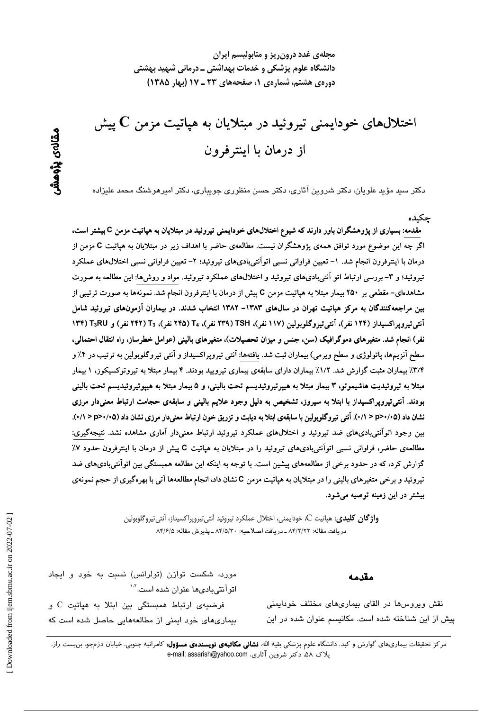مجلهی غدد درون ریز و متابولیسم ایران دانشگاه علوم پزشکی و خدمات بهداشتی ــ درمانی شهید بهشتی دورهی هشتم، شمارهی ۱، صفحههای ۲۳ ـ ۱۷ (بهار ۱۳۸۵)

# اختلالهای خودایمنی تیروئید در مبتلایان به هیاتیت مزمن  ${\bf C}$  پیش از درمان با اینترفرون

دکتر سبد مؤید علویان، دکتر شروین آثاری، دکتر حسن منظوری جویباری، دکتر امیرهوشنگ محمد علیزاده

#### جكىدە

مقدمه: بسیاری از پژوهشگران باور دارند که شیوع اختلالهای خودایمنی تیروئید در مبتلایان به هپاتیت مزمن C بیشتر است، اگر چه این موضوع مورد توافق همهی پژوهشگران نیست. مطالعهی حاضر با اهداف زیر در مبتلایان به هیاتیت C مزمن از درمان با اینترفرون انجام شد. ١– تعیین فراوانی نسبی اتواّنتیبادیهای تیروئید؛ ٢– تعیین فراوانی نسبی اختلالهای عملكرد تیروئید؛ و ۳– بررسی ارتباط اتو آنتیبادیهای تیروئید و اختلالهای عملکرد تیروئید. مواد و روشها: این مطالعه به صورت مشاهدهای- مقطعی بر ۲۵۰ بیمار مبتلا به هپاتیت مزمن C پیش از درمان با اینترفرون انجام شد. نمونهها به صورت ترتیبی از بین مراجعهکنندگان به مرکز هپاتیت تهران در سال@ای ۱۳۸۳– ۱۳۸۲ انتخاب شدند. در بیماران آزمون@ای تیروئید شامل آنتی تیروپراکسیداز (۱۲۴ نفر)، آنتی تیروگلوبولین (۱۱۷ نفر)، TSH (۲۳۹ نفر)، T4 (۲۴۵ نفر)، T3RU نفر) و T3RU (۱۳۴ نفر) انجام شد. متغیرهای دموگرافیک (سن، جنس و میزان تحصیلات)، متغیرهای بالینی (عوامل خطرساز، راه انتقال احتمالی، سطح آنزیمها، پاتولوژی و سطح ویرمی) بیماران ثبت شد. یافتهها: آنتی تیروپراکسیداز و آنتی تیروگلوبولین به ترتیب در ۴٪ و ۳/۴٪ بیماران مثبت گزارش شد. ۱/۲٪ بیماران دارای سابقهی بیماری تیرویید بودند. ۴ بیمار مبتلا به تیروتوکسیکوز، ۱ بیمار مبتلا به تیروئیدیت هاشیموتو، ۳ بیمار مبتلا به هیپرتیروئیدیسم تحت بالینی، و ۵ بیمار مبتلا به هیپوتیروئیدیسم تحت بالینی بودند. آنتیتیروپراکسیداز با ابتلا به سیروز، تشخیص به دلیل وجود علایم بالینی و سابقهی حجامت ارتباط معنیدار مرزی نشان داد (۰/۱×p>۰/۰۵). آنتی تیروگلوبولین با سابقهی ابتلا به دیابت و تزریق خون ارتباط معنیدار مرزی نشان داد (۰/۱×p>۰/۰). بین وجود اتوانتیبادیهای ضد تیروئید و اختلالهای عملکرد تیروئید ارتباط معنیدار آماری مشاهده نشد. نتیجهگیری: مطالعهی حاضر، فراوانی نسبی اتوانتی بادیهای تیروئید را در مبتلایان به هیاتیت C پیش از درمان با اینترفرون حدود ۷٪ گزارش کرد، که در حدود برخی از مطالعههای پیشین است. با توجه به اینکه این مطالعه همبستگی بین اتوآنتیبادیهای ضد تیروئید و برخی متغیرهای بالینی را در مبتلایان به هپاتیت مزمن C نشان داد، انجام مطالعهها آتی با بهرهگیری از حجم نمونهی بیشتر در این زمینه توصیه می شود.

> و**اژگان کلیدی**: هپاتیت C، خودایمنی، اختلال عملکرد تیروئید آنتی تیرویراکسیداز، آنتی تیروگلوبولین دريافت مقاله: ٨۴/٢/٢٢ ـ دريافت اصلاحيه: ٨۴/٥/٢٠ ـ يذيرش مقاله: ٨٤/٤/٥

مورد، شکست توازن (تولرانس) نسبت به خود و ایجاد اتو آنتے بادیھا عنوان شدہ است.<sup>۱۰۲</sup>  $\overline{C}$  فرضیهی ارتباط همبستگی بین ابتلا به هیاتیت  $\overline{C}$  و بیماریهای خود ایمنی از مطالعههایی حاصل شده است که

مقدمه

نقش ویروسها در القای بیماریهای مختلف خودایمنی پیش از این شناخته شده است. مکانیسم عنوان شده در این

مر کز تحقیقات بیماریهای گوارش و کبد، دانشگاه علوم پزشکی بقیه الله، **نشانی مکاتبهی نویسندهی مسؤول**؛ کامرانیه جنوبی، خیابان دژمجو، بن ست راز، پلاک ۵۸، دکتر شروین آثاری، e-mail: assarish@yahoo.com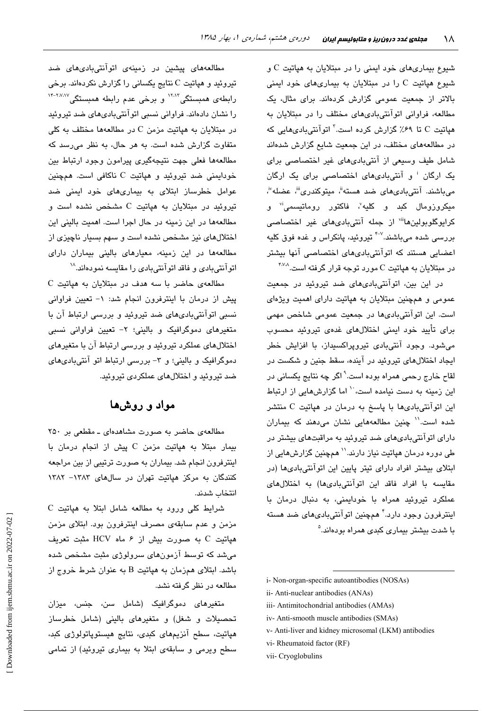شیوع بیماریهای خود ایمنی را در مبتلایان به هیاتیت C و شیوع هپاتیت C را در مبتلایان به بیماریهای خود ایمنی بالاتر از جمعیت عمومی گزارش کردهاند. برای مثال، یک مطالعه، فراوانی اتوآنتیبادیهای مختلف را در مبتلایان به هیاتیت C تا ۶۹٪ گزارش کرده است.<sup>۳</sup> اتوآنتیبادیهایی که در مطالعههای مختلف، در این جمعیت شایع گزارش شدهاند شامل طیف وسیعی از آنتیبادیهای غیر اختصاصی برای یک ارگان <sup>ن</sup>و آنتیبادیهای اختصاصی برای یک ارگان مي باشند. آنتي باديهاي ضد هسته"، ميتوكندري""، عضله"، میکروزومال ک<mark>بد و کلیه'، فاکتور روماتیسمی<sup>ن</sup>' و</mark> کرایوگلوبولینها<sup>ن</sup>" از جمله آنتیبادیهای غیر اختصاصی بررسی شده میباشند.<sup>۷-۴</sup> تیروئید، پانکراس و غده فوق کلیه اعضایی هستند که اتوآنتیبادیهای اختصاصی آنها بیشتر در مبتلایان به هیاتیت C مورد توجه قرار گرفته است.<sup>۴،۷۸</sup>

در این بین، اتوآنتے،بادیھای ضد تیروئید در جمعیت عمومی و همچنین مبتلایان به هپاتیت دارای اهمیت ویژهای است. این اتوآنتیبادیها در جمعیت عمومی شاخص مهمی برای تأبید خود ایمنی اختلالهای غدهی تیروئید محسوب میشود. وجود آنتیبادی تیروپراکسیداز، با افزایش خطر ایجاد اختلالهای تیروئید در آینده، سقط جنین و شکست در لقاح خارج رحمے همراه يوده است.<sup>۹</sup> اگر چه نتايج پکسانی در این زمینه به دست نیامده است، `` اما گزارشهایی از ارتباط این اتوآنتیبادیها با پاسخ به درمان در هپاتیت C منتشر شده است.<sup>\\</sup> چنین مطالعههایی نشان میدهند که بیماران دارای اتوآنتی،بادیهای ضد تیروئید به مراقبتهای بیشتر در طی دوره درمان هپاتیت نیاز دارند.<sup>\\</sup> همچنین گزارش *ه*ایی از ابتلای بیشتر افراد دارای تیتر پایین این اتوآنتیبادیها (در مقایسه با افراد فاقد این اتوآنتیبادیها) به اختلالهای عملکرد تیروئید همراه با خودایمنی، به دنبال درمان با اینترفرون وجود دارد.<sup>۴</sup> همچنین اتوآنتیبادیهای ضد هسته با شدت بیشتر بیماری کبدی همراه بودهاند.<sup>۵</sup>

- ii- Anti-nuclear antibodies (ANAs)
- iii- Antimitochondrial antibodies (AMAs)
- iv-Anti-smooth muscle antibodies (SMAs)
- v- Anti-liver and kidney microsomal (LKM) antibodies
- vi- Rheumatoid factor (RF)
- vii- Cryoglobulins

مطالعههای پیشین در زمینهی اتوآنتیبادیهای ضد  $\mathbf c$ تیروئید و هپاتیت  $\mathbf c$  نتایج یکسانی را گزارش نکردهاند. برخی رابطهی همبستگی<sup>۱۲٬۱۲</sup> و برخی عدم رابطه همبستگی<sup>۱۴-۲٬۷٬۱۷</sup> را نشان دادهاند. فراوانی نسبی اتوآنتیبادیهای ضد تیروئید در مبتلایان به هپاتیت مزمن C در مطالعهها مختلف به کلی متفاوت گزارش شده است. به هر حال، به نظر می رسد که مطالعهها فعلى جهت نتيجهگيرى پيرامون وجود ارتباط بين خودایمنی ضد تیروئید و هپاتیت C ناکافی است. همچنین عوامل خطرساز ابتلای به بیماریهای خود ایمنی ضد تیروئید در مبتلایان به هپاتیت C مشخص نشده است و مطالعهها در این زمینه در حال اجرا است. اهمیت بالینی این اختلالهای نیز مشخص نشده است و سهم بسیار ناچیزی از مطالعهها در این زمینه، معیارهای بالینی بیماران دارای اتوآنتی بادی و فاقد اتوآنتی بادی را مقایسه نمودهاند.^`

 $\overline{C}$  مطالعه $_2$  حاضر با سه هدف در میتلایان به هیاتیت پیش از درمان با اینترفرون انجام شد: ١- تعیین فراوانی نسبی اتوآنتیبادیهای ضد تیروئید و بررسی ارتباط آن با متغیرهای دموگرافیک و پالینی؛ ۲- تعیین فراوانی نسبی اختلالهای عملکرد تیروئید و بررسی ارتباط آن با متغیرهای دموگرافیک و بالینی؛ و ۳- بررسی ارتباط اتو آنتیبادیهای ضد تیروئید و اختلالهای عملکردی تیروئند.

## مواد و روشها

مطالعهی حاضر به صورت مشاهدهای ـ مقطعی بر ۲۵۰ بیمار مبتلا به هپاتیت مزمن C پیش از انجام درمان با اینترفرون انجام شد. بیماران به صورت ترتیبی از بین مراجعه کنندگان به مرکز هیاتیت تهران در سالهای ۱۳۸۳– ۱۳۸۲ انتخاب شدند.

شرایط کلی ورود به مطالعه شامل ابتلا به هپاتیت C مزمن و عدم سابقهی مصرف اینترفرون بود. ابتلای مزمن  $C$  مثبت تعریف HCV مثبت تعریف (ز ۶ ماه HCV مثبت تعریف میشد که توسط آزمونهای سرولوژی مثبت مشخص شده باشد. ابتلای همزمان به هیاتیت B به عنوان شرط خروج از مطالعه در نظر گرفته نشد.

م**تغ**یرها*ی* دموگرافیک (شامل سن، جنس، میزان تحصیلات و شغل) و متغیرهای بالینی (شامل خطرساز هپاتیت، سطح آنزیمهای کبدی، نتایج هیستوپاتولوژی کبد، سطح ویرمی و سابقهی ابتلا به بیماری تیروئید) از تمامی

i- Non-organ-specific autoantibodies (NOSAs)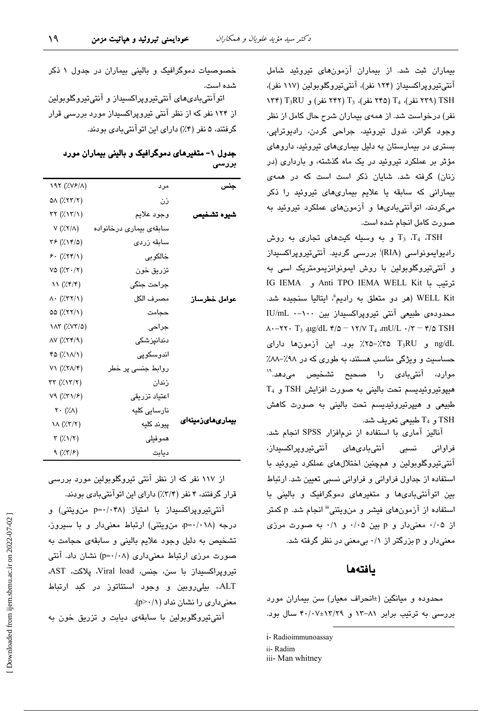بیماران ثبت شد. از بیماران آزمونهای تیروئید شامل آنتیتیروپراکسیداز (۱۲۴ نفر)، آنتیتیروگلوبولین (۱۱۷ نفر)، ۲۳۹ (۲۳۹ نفر)، T4 (۲۴۵ نفر)، T3 (۲۴۲ نفر) و T3RU (۱۳۴ نفر) درخواست شد. از همهی بیماران شرح حال کامل از نظر وجود گواتر، ندول تیروئید، جراحی گردن، رادیوتراپی، بستری در بیمارستان به دلیل بیماریهای تیروئید، داروهای مؤثر بر عملکرد تیروئید در یک ماه گذشته، و بارداری (در زنان) گرفته شد. شایان ذکر است است که در همهی بیمارانی که سابقه یا علایم بیماری های تیروئید را ذکر میکردند، اتوآنتیبادیها و آزمونهای عملکرد تیروئید به صورت كامل انجام شده است.

 $T_3$  ،  $T_4$  ،  $T_5$  و به وسیله کیتهای تجاری به روش رادیوایمونواسی (RIA)<sup>:</sup> بررسی گردید. آنتیتیروپراکسیداز و آنتی تیروگلوبولین با روش ایمونوانزیمومتریک اسی به IG IEMA و Anti TPO IEMA WELL Kit WELL Kit (هر دو متعلق به راديم"، ايتاليا سنجيده شد. محدودهی طبیعی آنتی تیروپراکسیداز بین ۱۰۰-۰ IU/mL  $\lambda$  -  $\lambda$  T  $\lambda$   $\mu$ g/dL  $\gamma/\lambda$  -  $\lambda$   $\gamma/\nu$  T<sub>4</sub> an U/L  $\cdot/\gamma$  -  $\gamma/\lambda$  TSH ng/dL و T3RU ^ 7x۵−٪۳۵ بود. این آزمونها دارای حساسیت و ویژگی مناسب هستند، به طوری که در ۰٫۹۸٪-۸۸٪ موارد، آنتیبادی را صحیح تشخیص میدهد.<sup>۱۹</sup>  $T_4$  هيپوتيروئيديسم تحت باليني به صورت افزايش TSH و طبیعی و هیپرتیروئیدیسم تحت بالینی به صورت کاهش و  $T_4$ طبيعي تعريف شد.

آنالیز آماری با استفاده از نرمافزار SPSS انجام شد. فراوانی نسبی آنتی،بادی،های آنتی،تیرویراکسیدان، آنتیتیروگلوبولین و همچنین اختلالهای عملکرد تیروئید با استفاده از جداول فراوانی و فراوانی نسبی تعیین شد. ارتباط بین اتوآنتی بادیها و متغیرهای دموگرافیک و بالینی با استفاده از آزمونهای فیشر و منویتنی''' انجام شد. p کمتر  $\sim$ از ۰/۰۵ معنی دار و p بین ۰/۰۵ و ۰/۱ به صورت مرزی معنیدار و p بزرگتر از ۰/۱ بی معنی در نظر گرفته شد.

### بافتهها

محدوده و میانگین (±انحراف معیار) سن بیماران مورد بررسی به ترتیب برابر ۸۱-۱۳ و ۱۳/۲۷±۴۰/۰۷ سال بود.

خصوصیات دموگرافیک و بالینی بیماران در جدول ۱ ذکر شده است.

اتوآنتیبادیهای آنتیتیروپراکسیداز و آنتیتیروگلوبولین از ۱۲۴ نفر که از نظر آنتی تیرویراکسیداز مورد بررسی قرار گرفتند، ۵ نفر (۴٪) دارای این اتوآنتیبادی بودند.

جدول ۱- متغیرهای دموگرافیک و بالینی بیماران مورد بررسی

| 197 (%V&/^)                                        | مرد                     | جنس              |
|----------------------------------------------------|-------------------------|------------------|
| $\Delta \Lambda$ ( $\chi$ ۲۳/۲)                    | ذن                      |                  |
| $\tau\tau$ ( $\lambda\lambda\tau/\lambda$ )        | وجود علايم              | شيوه تشخيص       |
| $V(Y, Y/\Lambda)$                                  | سابقەي بيمارى درخانوادە |                  |
| (۲۶ (۱۴/۵)                                         | سابقه زردى              |                  |
| $5.$ ( $7.77/1)$                                   | خالكوبى                 |                  |
| VQ(X,Y,Y)                                          | تزريق خون               |                  |
| $\mathcal{N}(\mathcal{H}/\mathfrak{r})$            | جراحت جنگی              |                  |
| $\wedge \cdot (\div \Upsilon \Upsilon / \Upsilon)$ | مصرف الكل               | عوامل خطرساز     |
| (۲۲/۱) ۵۵                                          | حجامت                   |                  |
| (۲٫۷۳/۵)                                           | جراحى                   |                  |
| $\Delta V$ ( $\lambda \Upsilon$ ۴/۹)               | دندانپزشکی              |                  |
| 40 (XIA/I)                                         | اندوسکوپی               |                  |
| $V1$ ( $X7\Lambda/F$ )                             | روابط جنسی پر خطر       |                  |
| $\tau\tau$ ( $\lambda\tau/\tau$ )                  | زندان                   |                  |
| V9(7.71)                                           | اعتياد تزريقى           |                  |
| $\mathsf{Y} \cdot (\mathsf{X} \wedge)$             | نارسایی کلیه            |                  |
| $\lambda \wedge (\mathcal{X},\mathcal{Y})$         | پیوند کلیه              | بیماریهایزمینهای |
| $\tau$ (% $\lambda$ / $\tau$ )                     | هموفيلى                 |                  |
| 9 $(\frac{7}{7})$                                  | ديابت                   |                  |

از ۱۱۷ نفر که از نظر آنتی تیروگلوبولین مورد بررسی قرار گرفتند، ۴ نفر (۳/۴٪) دارای این اتوآنتیبادی بودند.

آنتیتیروپراکسیداز با امتیاز (p=۰/۰۴۸ من ویتنی) و درجه (p=٠/٠١٨، من ويتنى) ارتباط معنى دار و با سيروز، تشخيص به دليل وجود علايم باليني و سابقهي حجامت به صورت مرزی ارتباط معنیداری (p=۰/۰۸) نشان داد. آنتی تيروپراكسيداز با سن، جنس، Viral load، پلاكت، AST، ALT.، بیلی روبین و وجود استئاتوز در کبد ارتباط معنیداری را نشان نداد ( ۱/ ·<p).

آنتی تیروگلوبولین با سابقهی دیابت و تزریق خون به

i-Radioimmunoassay

ii-Radim

iii- Man whitney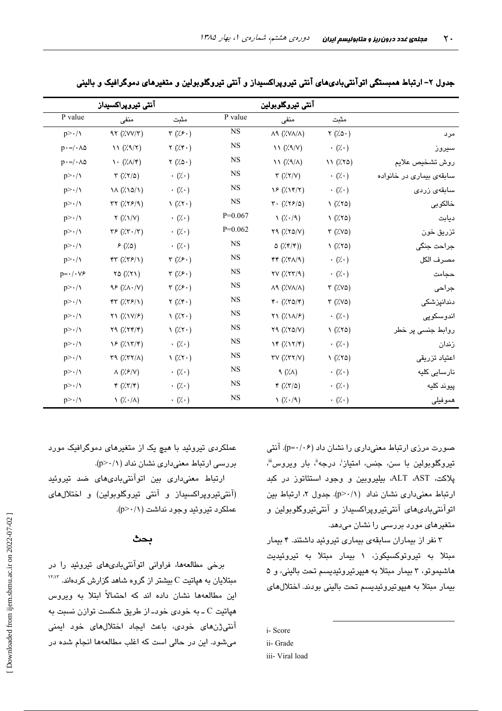|                                   | آنتی تیروپراکسیداز                                             |                                           | آنتي تيروگلوبولين |                                                                   |                         |                          |
|-----------------------------------|----------------------------------------------------------------|-------------------------------------------|-------------------|-------------------------------------------------------------------|-------------------------|--------------------------|
| P value                           | منفى                                                           | مثبت                                      | P value           | منفى                                                              | مثنت                    |                          |
| $p > \cdot / \sqrt{2}$            | $97$ ( $/IVV/T$ )                                              | $\mathbf{r}(\mathbf{X} \mathbf{F} \cdot)$ | <b>NS</b>         | $\Lambda$ ۹ ( $\lambda$ V $\Lambda$ / $\Lambda$ )                 | $\Upsilon$ (% $\circ$ ) | مرد                      |
| $p \cdot = / \cdot \wedge \Delta$ | 11 (7.9/7)                                                     | $\mathbf{Y}$ (% $\mathbf{Y}$ + )          | <b>NS</b>         | $\binom{1}{2}$                                                    | $\cdot$ (% $\cdot$ )    | سيروز                    |
| $p \cdot = / \cdot \wedge \Delta$ | $\langle \cdot   \langle \Lambda   \mathbf{r} \rangle$         | $\forall$ (% $\circ$ )                    | <b>NS</b>         | $\lambda \lambda (\lambda \Lambda)$                               | 11 (750)                | روش تشخيص علايم          |
| $p>\cdot/\lambda$                 | $\tau$ (% $\tau/\delta$ )                                      | $\cdot$ (% $\cdot$ )                      | <b>NS</b>         | $\tau$ ( $\chi \tau / \nu$ )                                      | $\cdot$ (% $\cdot$ )    | سابقهی بیماری در خانواده |
| $p > \cdot / \sqrt{2}$            | $\lambda \Lambda$ (% $\lambda$ 0/ $\lambda$ )                  | $\cdot$ (% $\cdot$ )                      | <b>NS</b>         | YF(X,Y Y)                                                         | $\cdot$ (% $\cdot$ )    | سابقەي زردى              |
| $p>\cdot/\lambda$                 | $YY (XY^{2})$                                                  | $\left(\frac{7}{7}\right)$                | $_{\rm NS}$       | $\mathbf{r} \cdot (\mathbf{X} \times \mathbf{S})$                 | (7.70)                  | خالکوبی                  |
| $p>\cdot/\lambda$                 | Y(Y,Y Y)                                                       | $\cdot$ (% $\cdot$ )                      | $P=0.067$         | $\left(\frac{7}{4}\cdot\frac{9}{9}\right)$                        | (7.70)                  | ديابت                    |
| $p > \cdot / \sqrt{2}$            | $\tau$ $\mathcal{F}$ $(\mathcal{X}, \mathcal{Y}, \mathcal{Y})$ | $\cdot$ (% $\cdot$ )                      | $P=0.062$         | Y9 (XY0/V)                                                        | $\tau$ (%V۵)            | تزريق خون                |
| $p>\cdot/\lambda$                 | f(x)                                                           | $\cdot$ (% $\cdot$ )                      | <b>NS</b>         | $\Delta (\mathcal{H}/\mathfrak{r}))$                              | (7.70)                  | جراحت جنگی               |
| $p>\cdot/\lambda$                 | $FT (XYF/\Upsilon)$                                            | $\mathbf{r}(\mathbf{X} \mathbf{F} \cdot)$ | <b>NS</b>         | YY(X,Y X)                                                         | $\cdot$ (% $\cdot$ )    | مصرف الكل                |
| $p = \cdot / \cdot \sqrt{2}$      | YQ(X,Y)                                                        | $\mathbf{r}$ (% $\mathbf{r}$ )            | <b>NS</b>         | $\forall V$ ( $\forall \forall \forall \forall \forall \forall$ ) | $\cdot$ (% $\cdot$ )    | حجامت                    |
| $p > \cdot / \sqrt{2}$            | 95 (7.1.7)                                                     | $\mathbf{r}(\mathbf{X} \mathbf{F})$       | <b>NS</b>         | $\Lambda$ ۹ ( $\lambda$ V $\Lambda$ / $\Lambda$ )                 | $\tau$ (%V۵)            | جراحى                    |
| $p>\cdot/\lambda$                 | rr(XTF/1)                                                      | $\mathbf{Y}$ (% $\mathbf{Y}$ + )          | <b>NS</b>         | $\mathfrak{r}$ . ( $\mathfrak{X}$ ra/ $\mathfrak{r}$ )            | $\tau$ (%V۵)            | دندانپزشکی               |
| $p>\cdot/1$                       | $Y\setminus (7.1V/F)$                                          | $\left(\frac{1}{2}\right)$                | <b>NS</b>         | $\forall \lambda (\lambda \wedge \lambda/\mathcal{F})$            | $\cdot$ (% $\cdot$ )    | اندوسکویی                |
| $p>\cdot/\lambda$                 | Y9(777)                                                        | $\left(\frac{7}{7}\right)$                | <b>NS</b>         | Y9 (XY0/V)                                                        | $\sqrt{(750)}$          | روابط جنسی پر خطر        |
| $p>\cdot/\lambda$                 | YF(X'Y')F)                                                     | $\cdot$ (% $\cdot$ )                      | <b>NS</b>         | $\Upsilon$ ( $\lambda \Upsilon$ )                                 | $\cdot$ (% $\cdot$ )    | زندان                    |
| $p>\cdot/1$                       | $\tau$ 9 ( $\lambda$ ۳۲/۸)                                     | $\left(\frac{7}{7}\right)$                | <b>NS</b>         | $\tau v$ ( $\chi \tau \tau / v$ )                                 | (7.70)                  | اعتياد تزريقى            |
| $p>\cdot/\lambda$                 | $\Lambda$ (% $5/$ Y)                                           | $\cdot$ (% $\cdot$ )                      | <b>NS</b>         | $\Lambda$ (%)                                                     | $\cdot$ (% $\cdot$ )    | نارسایی کلیه             |
| $p>\cdot/\lambda$                 | $\mathfrak{r}(\mathcal{X},\mathcal{Y})$                        | $\cdot$ (% $\cdot$ )                      | <b>NS</b>         | $f(x,\tau/\delta)$                                                | $\cdot$ (% $\cdot$ )    | پیوند کلیه               |
| $p>\cdot/1$                       | $\left(\frac{7}{4}\cdot\frac{1}{4}\right)$                     | $\cdot$ (% $\cdot$ )                      | <b>NS</b>         | $\left(\frac{7}{4}\cdot\frac{1}{9}\right)$                        | $\cdot$ (% $\cdot$ )    | هموفيلى                  |

جدول ۲– ارتباط همبستگی اتوآنتیبادیهای آنتی تیروپراکسیداز و آنتی تیروگلوبولین و متغیرهای دموگرافیک و بالینی

صورت مرزی ارتباط معنیداری را نشان داد (p=۰/۰۶). آنتی تيروگلوبولين با سن، جنس، امتياز<sup>ن</sup>، درجه<sup>ة</sup>، بار ويروس<sup>ة،</sup> پلاکت، ALT ،AST، بیلیروبین و وجود استئاتوز در کبد  $p > (p > r)$ ارتباط معنی داری نشان نداد (p>۰/۱). جدول ۲، ارتباط بین اتوآنتیبادیهای آنتیتیرویراکسیداز و آنتیتیروگلوبولین و متغیرهای مورد بررسی را نشان میدهد.

۳ نفر از بیماران سابقهی بیماری تیروئید داشتند. ۴ بیمار مبتلا به تیروتوکسیکوز، ۱ بیمار مبتلا به تیروئیدیت هاشیموتو، ۳ بیمار مبتلا به هیپرتیروئیدیسم تحت بالینی، و ۵ بيمار مبتلا به هيپوتيروئيديسم تحت باليني بودند. اختلال هاي

i-Score ii- Grade iii- Viral load

عملکردی تیروئید با هیچ یک از متغیرهای دموگرافیک مورد بررسی ارتباط معنیداری نشان نداد ( / / ·<p).

ارتباط معنی داری بین اتوآنتیبادیهای ضد تیروئید (آنتی تیرویراکسیداز و آنتی تیروگلوبولین) و اختلالهای عملکرد تیروئید وجود نداشت (p>٠/١).

#### بحث

برخی مطالعهها، فراوانی اتوآنتیبادیهای تیروئید را در  $\sim^\mathrm{N\wedge V}$ مبتلایان به هپاتیت  $\mathrm{C}$  بیشتر از گروه شاهد گزارش کردهاند. <sup>۱۲٬۱۲</sup> این مطالعهها نشان داده اند که احتمالاً ابتلا به ویروس هپاتیت C ـ به خودی خودـ از طریق شکست توازن نسبت به آنتیژنهای خودی، باعث ایجاد اختلالهای خود ایمنی می شود. این در حالی است که اغلب مطالعهها انجام شده در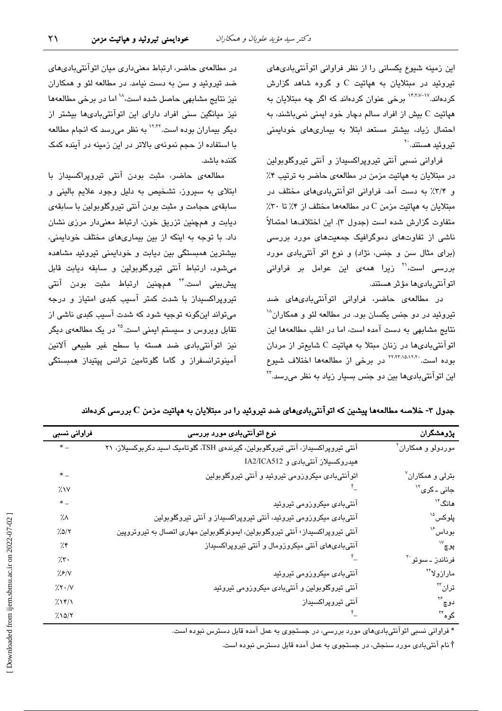این زمینه شیوع یکسانی را از نظر فراوانی اتوآنتیبادیهای تیروئید در مبتلایان به هپاتیت  $C$  و گروه شاهد گزارش کردهاند.<sup>۱۴،۲،۷</sup>٬ برخی عنوان کردهاند که اگر چه مبتلایان به هپاتیت  $\rm C$  بیش از افراد سالم دچار خود ایمنی نمیباشند، به احتمال زیاد، بیشتر مستعد ابتلا به بیماریهای خودایمنی تیر و ئید هستند. <sup>۲۰</sup>

فراوانی نسبی آنتی تیروپراکسیداز و آنتی تیروگلوبولین در مبتلایان به هپاتیت مزمن در مطالعهی حاضر به ترتیب ۴٪ و ۳/۴٪ به دست آمد. فراوانی اتوآنتیبادیهای مختلف در مبتلایان به هیاتیت مزمن C در مطالعهها مختلف از ۴٪ تا ۳۰٪ متفاوت گزارش شده است (جدول ۳). این اختلافها احتمالاً ناشی از تفاوتهای دموگرافیک جمعیتهای مورد بررسی (برای مثال سن و جنس، نژاد) و نوع اتو آنتیبادی مورد بررسی است،<sup>۲۱</sup> زیرا همهی این عوامل بر فراوانی اتوآنتي بادي ها مؤثر هستند.

در مطالعهی حاضر، فراوانی اتوآنتیبادیهای ضد تیروئید در دو جنس یکسان بود. در مطالعه لئو و همکاران^` نتائج مشائهی به دست آمده است، اما در اغلب مطالعهها این اتوآنتیبادیها در زنان مبتلا به هپاتیت C شایعتر از مردان بوده است. <sup>۲۲٬۲۲٬۱۵٬۱۲٬۲</sup>۰ در برخی از مطالعهها اختلاف شیوع این اتوآنتے،پادیھا بین دو چنس بسیار زباد به نظر مےرسد.<sup>۲۲</sup>

در مطالعهی حاضر، ارتباط معنیداری میان اتوآنتی بادیهای ضد تیروئید و سن به دست نیامد. در مطالعه لئو و همکاران نیز نتایج مشابهی حاصل شده است، ۱۸ امدر برخی مطالعهها نیز میانگین سنی افراد دارای این اتوآنتیبادیها بیشتر از دیگر بیماران بوده است.<sup>۱۲٬۲۲</sup> به نظر می رسد که انجام مطالعه با استفاده از حجم نمونهی بالاتر در این زمینه در آینده کمک كننده باشد.

مطالعهی حاضر، مثبت بودن آنتی تیروپراکسیداز با ابتلای به سیروز، تشخیص به دلیل وجود علایم بالینی و سابقهی حجامت و مثبت بودن آنتی تیروگلوبولین با سابقهی دیابت و همچنین تزریق خون، ارتباط معنیدار مرزی نشان داد. با توجه به اینکه از بین بیماریهای مختلف خودایمنی، بیشترین همبستگی بین دیابت و خودایمنی تیروئید مشاهده می شود، ارتباط آنتی تیروگلوبولین و سابقه دیابت قابل یش سنی است.<sup>۲۴</sup> همچنین ارتباط مثبت بودن آنت*ی* تیروپراکسیداز با شدت کمتر آسیب کبدی امتیاز و درجه می تواند اینگونه توجیه شود که شدت آسیب کبدی ناشی از تقابل وپروس و سیستم ایمنی است.<sup>۲۵</sup> در یک مطالعهی دیگر نیز اتوآنتیبادی ضد هسته با سطح غیر طبیعی آلانین آمینوترانسفراز و گاما گلوتامین ترانس پیتیداز همبستگی

| فراواني نسبي     | نوع اتوآنتیبادی مورد بررسی                                                        | پژوهشگران                            |
|------------------|-----------------------------------------------------------------------------------|--------------------------------------|
| $*$ $-$          | آنتی تیروپراکسیداز، آنتی تیروگلوبولین، گیرندهی TSH، گلوتامیک اسید دکربوکسیلاز، ۲۱ | موردولو و همکاران <sup>۲</sup>       |
|                  | هیدروکسیلاز آنتیبادی و IA2/ICA512                                                 |                                      |
| $*$ $-$          | اتوآنتیبادی میکروزومی تیروئید و آنتی تیروگلوبولین                                 | بٽرل <i>ی</i> و همکاران <sup>۷</sup> |
| 7.1V             |                                                                                   | جانی ـ کری <sup>۱۲</sup>             |
| $*$ $-$          | آنتیبادی میکروزومی تیروئید                                                        | هانگ $^{\prime\prime}$               |
| $\frac{1}{2}$    | آنتیبادی میکروزومی تیروئید، آنتی تیروپراکسیداز و آنتی تیروگلوبولین                | پلوکس <sup>۱۵</sup>                  |
| 7.0/7            | آنتی تیروپراکسیداز٬ آنتی تیروگلوبولین، ایمونوگلوبولین مهاری اتصال به تیروتروپین   | بوداس ۱ <sup>۶</sup>                 |
| $\gamma$         | آنتیبادیهای آنتی میکروزومال و آنتی تیروپراکسیداز                                  | پوچ~``                               |
| 7.5.             |                                                                                   | فرناندز ــ سوتو <sup>۲۰</sup>        |
| $\frac{1}{2}$ /Y | آنتیبادی میکروزومی تیروئید                                                        | مارازولا <sup>۲۲</sup>               |
| 7.7.7            | آنتی تیروگلوبولین و آنتیبادی میکروزومی تیروئید                                    | تران™                                |
| 7.17/1           | آنتی تیروپراکسیداز                                                                | دوچ ۲۶                               |
| 7.10/7           |                                                                                   | گو ه <sup>۳۴</sup>                   |

جدول ۳- خلاصه مطالعهها پیشین که اتوآنتیبادیهای ضد تیروئید را در مبتلایان به هپاتیت مزمن C بررسی کردهاند

\* فراوانی نسبی اتوآنتیبادیهای مورد بررسی، در جستجوی به عمل آمده قابل دسترس نبوده است.

† نام آنتی،بادی مورد سنجش، در جستجوی به عمل آمده قابل دسترس نبوده است.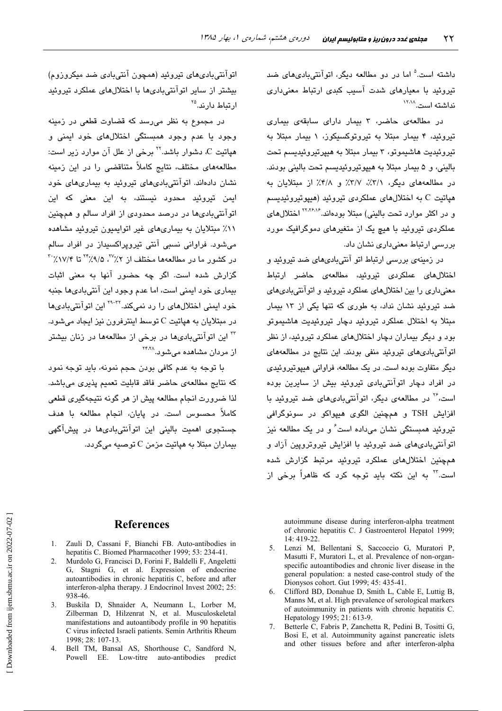داشته است.<sup>۵</sup> اما در دو مطالعه دیگر، اتوآنتی بادی *ه*ای ضد تیروئید با معیارهای شدت آسیب کبدی ارتباط معنیداری نداشته است. <sup>۱۲٬۱۸</sup>۰

در مطالعهی حاضر، ۳ بیمار دارای سابقهی بیماری تیروئید، ۴ بیمار مبتلا به تیروتوکسیکون، ۱ بیمار مبتلا به تیروئیدیت هاشیموتو، ۳ بیمار مبتلا به هیپرتیروئیدیسم تحت بالينې، و ۵ بيمار مېتلا به هيپوتيروئيديسم تحت بالينې بودند. در مطالعههای دیگر، ۳/۱٪، ۳/۷٪ و ۴/۸٪ از میتلایان به هياتيت C به اختلالهای عملکردی تيروئيد (هيپوتيروئيديسم و در اکثر موارد تحت بالینی) مبتلا بودهاند.۲۲٬۲۶٬۱۶٬ عملکردی تیروئید با هیچ یک از متغیرهای دموگرافیک مورد بررسی ارتباط معنیداری نشان داد.

در زمینهی بررسی ارتباط اتو آنتیبادیهای ضد تیروئید و اختلالهای عملکردی تیروئید، مطالعهی حاضر ارتباط معنیداری را بین اختلالهای عملکرد تیروئید و اتوآنتیبادیهای ضد تیروئید نشان نداد، به طوری که تنها یکی از ۱۳ بیمار مېتلا به اختلال عملکرد تيروئيد دچار تيروئيديت هاشيموتو بود و دیگر بیماران دچار اختلالهای عملکرد تیروئید، از نظر اتوآنتی بادی های تیروئید منفی بودند. این نتایج در مطالعههای دیگر متفاوت بوده است. در یک مطالعه، فراوانی هیپوتیروئیدی در افراد دچار اتوآنتیبادی تیروئید بیش از سایرین بوده است،<sup>۲۶</sup> در مطالعهی دیگر، اتوآنتیبادیهای ضد تیروئید با افزايش TSH و همچنين الگوى هيپواكو در سونوگرافى تیروئید همبستگی نشان میداده است ٔ و در یک مطالعه نیز اتوآنتیبادیهای ضد تیروئید با افزایش تیروتروپین آزاد و همچنین اختلالهای عملکرد تیروئید مرتبط گزارش شده است.<sup>۳</sup> په این نکته باید توجه کرد که ظاهراً پرخی از

اتوآنتی،بادیهای تیروئید (همچون آنتی،بادی ضد میکروزوم) بیشتر از سایر اتوآنتیبادیها با اختلالهای عملکرد تیروئید ار تباط دار ند.<sup>70</sup>

در مجموع به نظر میرسد که قضاوت قطعی در زمینه وجود یا عدم وجود همبستگی اختلالهای خود ایمنی و هیاتیت  $C$ ، دشوار باشد.'' برخی از علل آن موارد زیر است: مطالعههای مختلف، نتایج کاملاً متناقضی را در این زمینه نشان دادهاند. اتوآنتی بادیهای تیروئید به بیماریهای خود ایمن تیروئید محدود نیستند، به این معنی که این اتوآنتیبادیها در درصد محدودی از افراد سالم و همچنین ٬۱۱٪ مبتلایان به بیماری های غیر اتوایمیون تیروئید مشاهده می،شود. فراوانی نسبی آنتی تیرویراکسیداز در افراد سالم در کشور ما در مطالعهها مختلف از ۲٪٬۰٫۹ تا ۱۷/۴٪٬۰۰ گزارش شده است. اگر چه حضور آنها به معنی اثبات بیماری خود ایمنی است، اما عدم وجود این آنتیبادیها جنبه خود ایمنی اختلالهای را رد نمیکند.<sup>۲۲</sup>۰<sup>۳۲ ا</sup>ین اتوآنتیبادیها در مبتلایان به هیاتیت C توسط اینترفرون نیز ایجاد میشود. <sup>۳۲</sup> این اتوآنتیبادیها در برخی از مطالعهها در زنان بیشتر از مردان مشاهده می شو.د.<sup>۲۴،۲۸</sup>

با توجه به عدم کافی بودن حجم نمونه، باید توجه نمود كه نتايج مطالعهى حاضر فاقد قابليت تعميم يذيرى مىباشد. لذا ضرورت انجام مطالعه پیش از هر گونه نتیجهگیری قطعی کاملاً محسوس است. در پایان، انجام مطالعه با هدف جستجوی اهمیت بالینی این اتوآنتیبادیها در پیشآگهی بیماران مبتلا به هپاتیت مزمن C توصیه میگردد.

#### **References**

- 1. Zauli D, Cassani F, Bianchi FB. Auto-antibodies in hepatitis C. Biomed Pharmacother 1999: 53: 234-41.
- $\mathcal{D}$ Murdolo G. Francisci D. Forini F. Baldelli F. Angeletti G, Stagni G, et al. Expression of endocrine autoantibodies in chronic hepatitis C, before and after interferon-alpha therapy. J Endocrinol Invest 2002; 25: 938-46.
- $3<sub>1</sub>$ Buskila D, Shnaider A, Neumann L, Lorber M, Zilberman D, Hilzenrat N, et al. Musculoskeletal manifestations and autoantibody profile in 90 hepatitis C virus infected Israeli patients. Semin Arthritis Rheum 1998; 28: 107-13.
- 4. Bell TM, Bansal AS, Shorthouse C, Sandford N, Low-titre auto-antibodies predict Powell EE.

autoimmune disease during interferon-alpha treatment of chronic hepatitis C. J Gastroenterol Hepatol 1999; 14:419-22.

- 5. Lenzi M. Bellentani S. Saccoccio G. Muratori P. Masutti F, Muratori L, et al. Prevalence of non-organspecific autoantibodies and chronic liver disease in the general population: a nested case-control study of the Dionysos cohort. Gut 1999; 45: 435-41.
- 6. Clifford BD, Donahue D, Smith L, Cable E, Luttig B, Manns M, et al. High prevalence of serological markers of autoimmunity in patients with chronic hepatitis C. Hepatology 1995; 21: 613-9.
- 7. Betterle C, Fabris P, Zanchetta R, Pedini B, Tositti G, Bosi E, et al. Autoimmunity against pancreatic islets and other tissues before and after interferon-alpha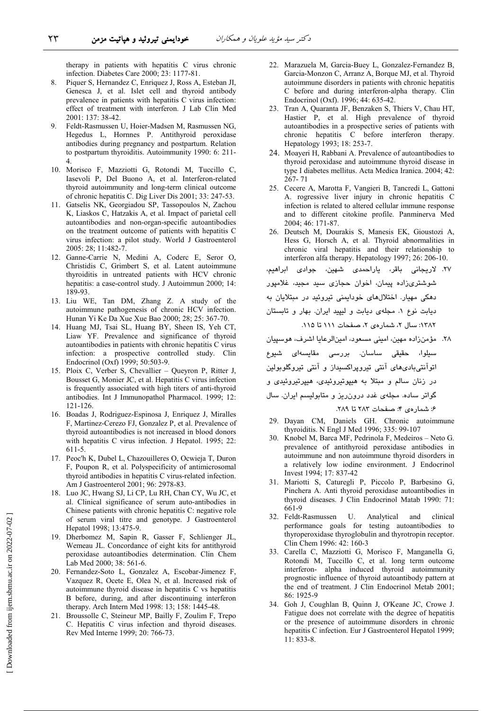therapy in patients with hepatitis C virus chronic infection. Diabetes Care 2000; 23: 1177-81.

Piquer S, Hernandez C, Enriquez J, Ross A, Esteban JI,  $\mathbf{R}$ Genesca J, et al. Islet cell and thyroid antibody prevalence in patients with hepatitis C virus infection: effect of treatment with interferon. J Lab Clin Med 2001: 137: 38-42.

۲۳

- $\overline{9}$ Feldt-Rasmussen U. Hoier-Madsen M. Rasmussen NG. Hegedus L, Hornnes P. Antithyroid peroxidase antibodies during pregnancy and postpartum. Relation to postpartum thyroiditis. Autoimmunity 1990: 6: 211-
- 10. Morisco F, Mazziotti G, Rotondi M, Tuccillo C. Iasevoli P, Del Buono A, et al. Interferon-related thyroid autoimmunity and long-term clinical outcome of chronic hepatitis C. Dig Liver Dis 2001; 33: 247-53.
- 11. Gatselis NK, Georgiadou SP, Tassopoulos N, Zachou K, Liaskos C, Hatzakis A, et al. Impact of parietal cell autoantibodies and non-organ-specific autoantibodies on the treatment outcome of patients with hepatitis C virus infection: a pilot study. World J Gastroenterol 2005: 28; 11:482-7.
- 12. Ganne-Carrie N, Medini A, Coderc E, Seror O, Christidis C, Grimbert S, et al. Latent autoimmune thyroiditis in untreated patients with HCV chronic hepatitis: a case-control study. J Autoimmun 2000; 14: 189-93.
- 13. Liu WE, Tan DM, Zhang Z. A study of the autoimmune pathogenesis of chronic HCV infection. Hunan Yi Ke Da Xue Xue Bao 2000; 28; 25: 367-70.
- 14. Huang MJ, Tsai SL, Huang BY, Sheen IS, Yeh CT, Liaw YF. Prevalence and significance of thyroid autoantibodies in patients with chronic hepatitis C virus infection: a prospective controlled study. Clin Endocrinol (Oxf) 1999; 50:503-9.
- 15. Ploix C, Verber S, Chevallier Queyron P, Ritter J, Bousset G, Monier JC, et al. Hepatitis C virus infection is frequently associated with high titers of anti-thyroid antibodies. Int J Immunopathol Pharmacol. 1999; 12:  $121 - 126$
- 16. Boadas J, Rodriguez-Espinosa J, Enriquez J, Miralles F, Martinez-Cerezo FJ, Gonzalez P, et al. Prevalence of thyroid autoantibodies is not increased in blood donors with hepatitis C virus infection. J Hepatol. 1995; 22:  $611 - 5$
- 17. Peoc'h K, Dubel L, Chazouilleres O, Ocwieja T, Duron F, Poupon R, et al. Polyspecificity of antimicrosomal thyroid antibodies in hepatitis C virus-related infection. Am J Gastroenterol 2001; 96: 2978-83.
- 18. Luo JC, Hwang SJ, Li CP, Lu RH, Chan CY, Wu JC, et al. Clinical significance of serum auto-antibodies in Chinese patients with chronic hepatitis C: negative role of serum viral titre and genotype. J Gastroenterol Hepatol 1998; 13:475-9.
- 19. Dherbomez M, Sapin R, Gasser F, Schlienger JL, Wemeau JL. Concordance of eight kits for antithyroid peroxidase autoantibodies determination. Clin Chem Lab Med 2000; 38: 561-6.
- 20. Fernandez-Soto L, Gonzalez A, Escobar-Jimenez F, Vazquez R, Ocete E, Olea N, et al. Increased risk of autoimmune thyroid disease in hepatitis C vs hepatitis B before, during, and after discontinuing interferon therapy. Arch Intern Med 1998: 13: 158: 1445-48.

Downloaded from ijem.sbmu.ac.ir on 2022-07-02

21. Broussolle C, Steineur MP, Bailly F, Zoulim F, Trepo C. Hepatitis C virus infection and thyroid diseases. Rev Med Interne 1999; 20: 766-73.

- 22. Marazuela M, Garcia-Buey L, Gonzalez-Fernandez B, Garcia-Monzon C, Arranz A, Borque MJ, et al. Thyroid autoimmune disorders in patients with chronic hepatitis C before and during interferon-alpha therapy. Clin Endocrinol (Oxf). 1996; 44: 635-42.
- 23. Tran A, Quaranta JF, Benzaken S, Thiers V, Chau HT, Hastier P, et al. High prevalence of thyroid autoantibodies in a prospective series of patients with chronic hepatitis C before interferon therapy. Hepatology 1993; 18: 253-7.
- 24. Moayeri H, Rabbani A. Prevalence of autoantibodies to thyroid peroxidase and autoimmune thyroid disease in type I diabetes mellitus. Acta Medica Iranica. 2004; 42:  $267 - 71$
- 25. Cecere A, Marotta F, Vangieri B, Tancredi L, Gattoni A. rogressive liver injury in chronic hepatitis C infection is related to altered cellular immune response and to different citokine profile. Panminerva Med 2004: 46: 171-87.
- 26. Deutsch M, Dourakis S, Manesis EK, Gioustozi A, Hess G, Horsch A, et al. Thyroid abnormalities in chronic viral hepatitis and their relationship to interferon alfa therapy. Hepatology 1997; 26: 206-10.

.<br>٢٧. لاريجاني باقر، ياراحمدي شهين، جوادي ابراهيم،

شوشتریزاده پیمان، اخوان حجازی سید مجید، غلامپور

دهکی مهیار. اختلالهای خودایمنی تیروئید در مبتلایان به دیابت نوع ۱. مجلهی دیابت و لیپید ایران. بهار و تابستان ۱۳۸۲: سال ۲، شمارهی ۲، صفحات ۱۱۱ تا ۱۱۵.

٢٨. - مؤمن:(ده مهين، اميني مسعود، امين(ارعايا اشرف، هوسيبان

سى<u>ل</u>وا، حقيقى ساسان. بررسى مقايسەاى شى<u>و</u>ع اتوآنتی،بادیهای آنتی تیرویراکسیداز و آنتی تیروگلوبولین در زنان سالم و مبتلا به هیپوتیروئی*دی،* هیپرتیروئی*دی* و گواتر ساده. مجلهی غدد درون٫ریز و متابولیسم ایران. سال

۶: شمارهی ۴: صفحات ۲۸۳ تا ۲۸۹.

- 29. Dayan CM, Daniels GH. Chronic autoimmune thyroiditis. N Engl J Med 1996; 335: 99-107
- 30. Knobel M, Barca MF, Pedrinola F, Medeiros Neto G. prevalence of antithyroid peroxidase antibodies in autoimmune and non autoimmune thyroid disorders in a relatively low iodine environment. J Endocrinol Invest 1994; 17: 837-42
- Mariotti S, Caturegli P, Piccolo P, Barbesino G, 31 Pinchera A. Anti thyroid peroxidase autoantibodies in thyroid diseases. J Clin Endocrinol Matab 1990: 71: 661-9
- 32. Feldt-Rasmussen U. Analytical and clinical performance goals for testing autoantibodies to thyroperoxidase thyroglobulin and thyrotropin receptor. Clin Chem 1996: 42: 160-3
- 33. Carella C, Mazziotti G, Morisco F, Manganella G, Rotondi M, Tuccillo C, et al. long term outcome interferon- alpha induced thyroid autoimmunity prognostic influence of thyroid autoantibody pattern at the end of treatment. J Clin Endocrinol Metab 2001; 86: 1925-9
- 34. Goh J, Coughlan B, Quinn J, O'Keane JC, Crowe J. Fatigue does not correlate with the degree of hepatitis or the presence of autoimmune disorders in chronic hepatitis C infection. Eur J Gastroenterol Hepatol 1999; 11:833-8.